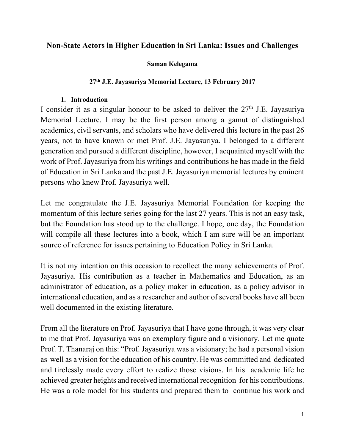### **Non-State Actors in Higher Education in Sri Lanka: Issues and Challenges**

### **Saman Kelegama**

### **27th J.E. Jayasuriya Memorial Lecture, 13 February 2017**

### **1. Introduction**

I consider it as a singular honour to be asked to deliver the  $27<sup>th</sup>$  J.E. Jayasuriya Memorial Lecture. I may be the first person among a gamut of distinguished academics, civil servants, and scholars who have delivered this lecture in the past 26 years, not to have known or met Prof. J.E. Jayasuriya. I belonged to a different generation and pursued a different discipline, however, I acquainted myself with the work of Prof. Jayasuriya from his writings and contributions he has made in the field of Education in Sri Lanka and the past J.E. Jayasuriya memorial lectures by eminent persons who knew Prof. Jayasuriya well.

Let me congratulate the J.E. Jayasuriya Memorial Foundation for keeping the momentum of this lecture series going for the last 27 years. This is not an easy task, but the Foundation has stood up to the challenge. I hope, one day, the Foundation will compile all these lectures into a book, which I am sure will be an important source of reference for issues pertaining to Education Policy in Sri Lanka.

It is not my intention on this occasion to recollect the many achievements of Prof. Jayasuriya. His contribution as a teacher in Mathematics and Education, as an administrator of education, as a policy maker in education, as a policy advisor in international education, and as a researcher and author of several books have all been well documented in the existing literature.

From all the literature on Prof. Jayasuriya that I have gone through, it was very clear to me that Prof. Jayasuriya was an exemplary figure and a visionary. Let me quote Prof. T. Thanaraj on this: "Prof. Jayasuriya was a visionary; he had a personal vision as well as a vision for the education of his country. He was committed and dedicated and tirelessly made every effort to realize those visions. In his academic life he achieved greater heights and received international recognition for his contributions. He was a role model for his students and prepared them to continue his work and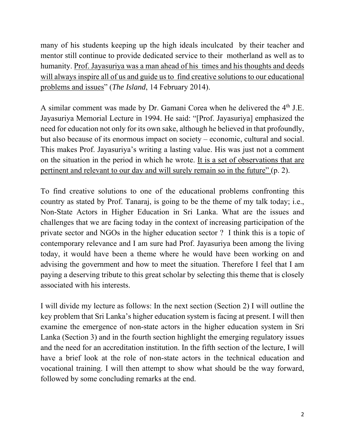many of his students keeping up the high ideals inculcated by their teacher and mentor still continue to provide dedicated service to their motherland as well as to humanity. Prof. Jayasuriya was a man ahead of his times and his thoughts and deeds will always inspire all of us and guide us to find creative solutions to our educational problems and issues" (*The Island*, 14 February 2014).

A similar comment was made by Dr. Gamani Corea when he delivered the  $4<sup>th</sup>$  J.E. Jayasuriya Memorial Lecture in 1994. He said: "[Prof. Jayasuriya] emphasized the need for education not only for its own sake, although he believed in that profoundly, but also because of its enormous impact on society – economic, cultural and social. This makes Prof. Jayasuriya's writing a lasting value. His was just not a comment on the situation in the period in which he wrote. It is a set of observations that are pertinent and relevant to our day and will surely remain so in the future" (p. 2).

To find creative solutions to one of the educational problems confronting this country as stated by Prof. Tanaraj, is going to be the theme of my talk today; i.e., Non-State Actors in Higher Education in Sri Lanka. What are the issues and challenges that we are facing today in the context of increasing participation of the private sector and NGOs in the higher education sector ? I think this is a topic of contemporary relevance and I am sure had Prof. Jayasuriya been among the living today, it would have been a theme where he would have been working on and advising the government and how to meet the situation. Therefore I feel that I am paying a deserving tribute to this great scholar by selecting this theme that is closely associated with his interests.

I will divide my lecture as follows: In the next section (Section 2) I will outline the key problem that Sri Lanka's higher education system is facing at present. I will then examine the emergence of non-state actors in the higher education system in Sri Lanka (Section 3) and in the fourth section highlight the emerging regulatory issues and the need for an accreditation institution. In the fifth section of the lecture, I will have a brief look at the role of non-state actors in the technical education and vocational training. I will then attempt to show what should be the way forward, followed by some concluding remarks at the end.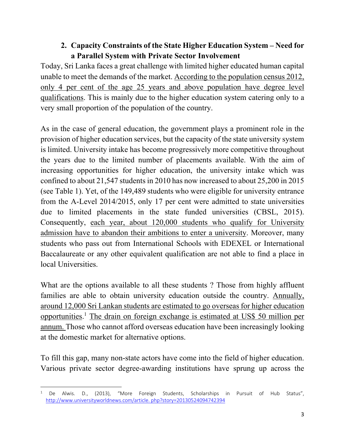# **2. Capacity Constraints of the State Higher Education System – Need for a Parallel System with Private Sector Involvement**

Today, Sri Lanka faces a great challenge with limited higher educated human capital unable to meet the demands of the market. According to the population census 2012, only 4 per cent of the age 25 years and above population have degree level qualifications. This is mainly due to the higher education system catering only to a very small proportion of the population of the country.

As in the case of general education, the government plays a prominent role in the provision of higher education services, but the capacity of the state university system is limited. University intake has become progressively more competitive throughout the years due to the limited number of placements available. With the aim of increasing opportunities for higher education, the university intake which was confined to about 21,547 students in 2010 has now increased to about 25,200 in 2015 (see Table 1). Yet, of the 149,489 students who were eligible for university entrance from the A-Level 2014/2015, only 17 per cent were admitted to state universities due to limited placements in the state funded universities (CBSL, 2015). Consequently, each year, about 120,000 students who qualify for University admission have to abandon their ambitions to enter a university. Moreover, many students who pass out from International Schools with EDEXEL or International Baccalaureate or any other equivalent qualification are not able to find a place in local Universities.

What are the options available to all these students? Those from highly affluent families are able to obtain university education outside the country. Annually, around 12,000 Sri Lankan students are estimated to go overseas for higher education opportunities.<sup>1</sup> The drain on foreign exchange is estimated at US\$ 50 million per annum. Those who cannot afford overseas education have been increasingly looking at the domestic market for alternative options.

To fill this gap, many non-state actors have come into the field of higher education. Various private sector degree-awarding institutions have sprung up across the

<sup>&</sup>lt;sup>1</sup> De Alwis. D., (2013), "More Foreign Students, Scholarships in Pursuit of Hub Status", http://www.universityworldnews.com/article. php?story=20130524094742394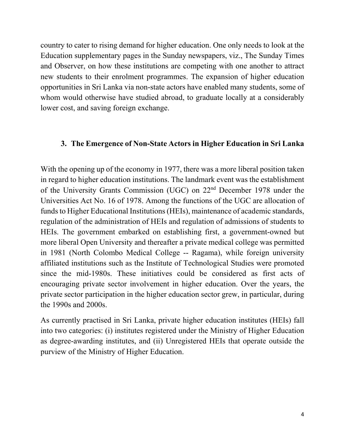country to cater to rising demand for higher education. One only needs to look at the Education supplementary pages in the Sunday newspapers, viz., The Sunday Times and Observer, on how these institutions are competing with one another to attract new students to their enrolment programmes. The expansion of higher education opportunities in Sri Lanka via non-state actors have enabled many students, some of whom would otherwise have studied abroad, to graduate locally at a considerably lower cost, and saving foreign exchange.

## **3. The Emergence of Non-State Actors in Higher Education in Sri Lanka**

With the opening up of the economy in 1977, there was a more liberal position taken in regard to higher education institutions. The landmark event was the establishment of the University Grants Commission (UGC) on 22nd December 1978 under the Universities Act No. 16 of 1978. Among the functions of the UGC are allocation of funds to Higher Educational Institutions (HEIs), maintenance of academic standards, regulation of the administration of HEIs and regulation of admissions of students to HEIs. The government embarked on establishing first, a government-owned but more liberal Open University and thereafter a private medical college was permitted in 1981 (North Colombo Medical College -- Ragama), while foreign university affiliated institutions such as the Institute of Technological Studies were promoted since the mid-1980s. These initiatives could be considered as first acts of encouraging private sector involvement in higher education. Over the years, the private sector participation in the higher education sector grew, in particular, during the 1990s and 2000s.

As currently practised in Sri Lanka, private higher education institutes (HEIs) fall into two categories: (i) institutes registered under the Ministry of Higher Education as degree-awarding institutes, and (ii) Unregistered HEIs that operate outside the purview of the Ministry of Higher Education.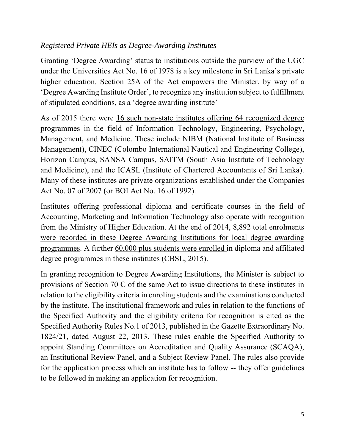## *Registered Private HEIs as Degree-Awarding Institutes*

Granting 'Degree Awarding' status to institutions outside the purview of the UGC under the Universities Act No. 16 of 1978 is a key milestone in Sri Lanka's private higher education. Section 25A of the Act empowers the Minister, by way of a 'Degree Awarding Institute Order', to recognize any institution subject to fulfillment of stipulated conditions, as a 'degree awarding institute'

As of 2015 there were 16 such non-state institutes offering 64 recognized degree programmes in the field of Information Technology, Engineering, Psychology, Management, and Medicine. These include NIBM (National Institute of Business Management), CINEC (Colombo International Nautical and Engineering College), Horizon Campus, SANSA Campus, SAITM (South Asia Institute of Technology and Medicine), and the ICASL (Institute of Chartered Accountants of Sri Lanka). Many of these institutes are private organizations established under the Companies Act No. 07 of 2007 (or BOI Act No. 16 of 1992).

Institutes offering professional diploma and certificate courses in the field of Accounting, Marketing and Information Technology also operate with recognition from the Ministry of Higher Education. At the end of 2014, 8,892 total enrolments were recorded in these Degree Awarding Institutions for local degree awarding programmes. A further 60,000 plus students were enrolled in diploma and affiliated degree programmes in these institutes (CBSL, 2015).

In granting recognition to Degree Awarding Institutions, the Minister is subject to provisions of Section 70 C of the same Act to issue directions to these institutes in relation to the eligibility criteria in enroling students and the examinations conducted by the institute. The institutional framework and rules in relation to the functions of the Specified Authority and the eligibility criteria for recognition is cited as the Specified Authority Rules No.1 of 2013, published in the Gazette Extraordinary No. 1824/21, dated August 22, 2013. These rules enable the Specified Authority to appoint Standing Committees on Accreditation and Quality Assurance (SCAQA), an Institutional Review Panel, and a Subject Review Panel. The rules also provide for the application process which an institute has to follow -- they offer guidelines to be followed in making an application for recognition.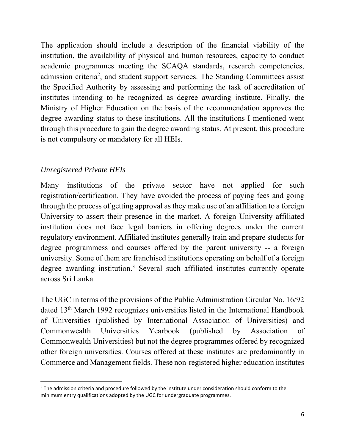The application should include a description of the financial viability of the institution, the availability of physical and human resources, capacity to conduct academic programmes meeting the SCAQA standards, research competencies, admission criteria<sup>2</sup>, and student support services. The Standing Committees assist the Specified Authority by assessing and performing the task of accreditation of institutes intending to be recognized as degree awarding institute. Finally, the Ministry of Higher Education on the basis of the recommendation approves the degree awarding status to these institutions. All the institutions I mentioned went through this procedure to gain the degree awarding status. At present, this procedure is not compulsory or mandatory for all HEIs.

# *Unregistered Private HEIs*

Many institutions of the private sector have not applied for such registration/certification. They have avoided the process of paying fees and going through the process of getting approval as they make use of an affiliation to a foreign University to assert their presence in the market. A foreign University affiliated institution does not face legal barriers in offering degrees under the current regulatory environment. Affiliated institutes generally train and prepare students for degree programmess and courses offered by the parent university -- a foreign university. Some of them are franchised institutions operating on behalf of a foreign degree awarding institution.<sup>3</sup> Several such affiliated institutes currently operate across Sri Lanka.

The UGC in terms of the provisions of the Public Administration Circular No. 16/92 dated 13th March 1992 recognizes universities listed in the International Handbook of Universities (published by International Association of Universities) and Commonwealth Universities Yearbook (published by Association of Commonwealth Universities) but not the degree programmes offered by recognized other foreign universities. Courses offered at these institutes are predominantly in Commerce and Management fields. These non-registered higher education institutes

<sup>&</sup>lt;sup>2</sup> The admission criteria and procedure followed by the institute under consideration should conform to the minimum entry qualifications adopted by the UGC for undergraduate programmes.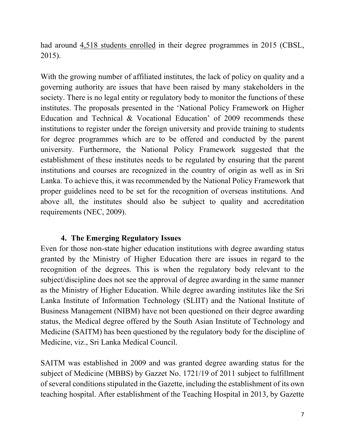had around 4,518 students enrolled in their degree programmes in 2015 (CBSL, 2015).

With the growing number of affiliated institutes, the lack of policy on quality and a governing authority are issues that have been raised by many stakeholders in the society. There is no legal entity or regulatory body to monitor the functions of these institutes. The proposals presented in the 'National Policy Framework on Higher Education and Technical & Vocational Education' of 2009 recommends these institutions to register under the foreign university and provide training to students for degree programmes which are to be offered and conducted by the parent university. Furthermore, the National Policy Framework suggested that the establishment of these institutes needs to be regulated by ensuring that the parent institutions and courses are recognized in the country of origin as well as in Sri Lanka. To achieve this, it was recommended by the National Policy Framework that proper guidelines need to be set for the recognition of overseas institutions. And above all, the institutes should also be subject to quality and accreditation requirements (NEC, 2009).

## **4. The Emerging Regulatory Issues**

Even for those non-state higher education institutions with degree awarding status granted by the Ministry of Higher Education there are issues in regard to the recognition of the degrees. This is when the regulatory body relevant to the subject/discipline does not see the approval of degree awarding in the same manner as the Ministry of Higher Education. While degree awarding institutes like the Sri Lanka Institute of Information Technology (SLIIT) and the National Institute of Business Management (NIBM) have not been questioned on their degree awarding status, the Medical degree offered by the South Asian Institute of Technology and Medicine (SAITM) has been questioned by the regulatory body for the discipline of Medicine, viz., Sri Lanka Medical Council.

SAITM was established in 2009 and was granted degree awarding status for the subject of Medicine (MBBS) by Gazzet No. 1721/19 of 2011 subject to fulfillment of several conditions stipulated in the Gazette, including the establishment of its own teaching hospital. After establishment of the Teaching Hospital in 2013, by Gazette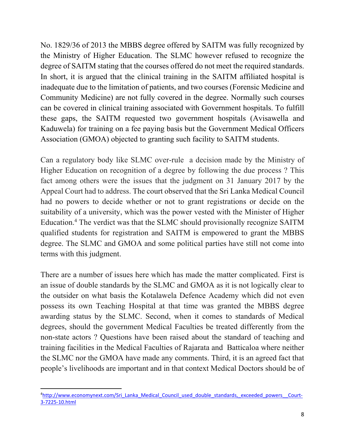No. 1829/36 of 2013 the MBBS degree offered by SAITM was fully recognized by the Ministry of Higher Education. The SLMC however refused to recognize the degree of SAITM stating that the courses offered do not meet the required standards. In short, it is argued that the clinical training in the SAITM affiliated hospital is inadequate due to the limitation of patients, and two courses (Forensic Medicine and Community Medicine) are not fully covered in the degree. Normally such courses can be covered in clinical training associated with Government hospitals. To fulfill these gaps, the SAITM requested two government hospitals (Avisawella and Kaduwela) for training on a fee paying basis but the Government Medical Officers Association (GMOA) objected to granting such facility to SAITM students.

Can a regulatory body like SLMC over-rule a decision made by the Ministry of Higher Education on recognition of a degree by following the due process ? This fact among others were the issues that the judgment on 31 January 2017 by the Appeal Court had to address. The court observed that the Sri Lanka Medical Council had no powers to decide whether or not to grant registrations or decide on the suitability of a university, which was the power vested with the Minister of Higher Education.<sup>4</sup> The verdict was that the SLMC should provisionally recognize SAITM qualified students for registration and SAITM is empowered to grant the MBBS degree. The SLMC and GMOA and some political parties have still not come into terms with this judgment.

There are a number of issues here which has made the matter complicated. First is an issue of double standards by the SLMC and GMOA as it is not logically clear to the outsider on what basis the Kotalawela Defence Academy which did not even possess its own Teaching Hospital at that time was granted the MBBS degree awarding status by the SLMC. Second, when it comes to standards of Medical degrees, should the government Medical Faculties be treated differently from the non-state actors ? Questions have been raised about the standard of teaching and training facilities in the Medical Faculties of Rajarata and Batticaloa where neither the SLMC nor the GMOA have made any comments. Third, it is an agreed fact that people's livelihoods are important and in that context Medical Doctors should be of

 <sup>4</sup>http://www.economynext.com/Sri\_Lanka\_Medical\_Council\_used\_double\_standards,\_exceeded\_powers\_\_Court-3‐7225‐10.html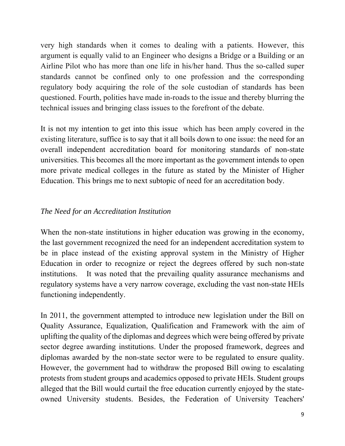very high standards when it comes to dealing with a patients. However, this argument is equally valid to an Engineer who designs a Bridge or a Building or an Airline Pilot who has more than one life in his/her hand. Thus the so-called super standards cannot be confined only to one profession and the corresponding regulatory body acquiring the role of the sole custodian of standards has been questioned. Fourth, polities have made in-roads to the issue and thereby blurring the technical issues and bringing class issues to the forefront of the debate.

It is not my intention to get into this issue which has been amply covered in the existing literature, suffice is to say that it all boils down to one issue: the need for an overall independent accreditation board for monitoring standards of non-state universities. This becomes all the more important as the government intends to open more private medical colleges in the future as stated by the Minister of Higher Education. This brings me to next subtopic of need for an accreditation body.

# *The Need for an Accreditation Institution*

When the non-state institutions in higher education was growing in the economy, the last government recognized the need for an independent accreditation system to be in place instead of the existing approval system in the Ministry of Higher Education in order to recognize or reject the degrees offered by such non-state institutions. It was noted that the prevailing quality assurance mechanisms and regulatory systems have a very narrow coverage, excluding the vast non-state HEIs functioning independently.

In 2011, the government attempted to introduce new legislation under the Bill on Quality Assurance, Equalization, Qualification and Framework with the aim of uplifting the quality of the diplomas and degrees which were being offered by private sector degree awarding institutions. Under the proposed framework, degrees and diplomas awarded by the non-state sector were to be regulated to ensure quality. However, the government had to withdraw the proposed Bill owing to escalating protests from student groups and academics opposed to private HEIs. Student groups alleged that the Bill would curtail the free education currently enjoyed by the stateowned University students. Besides, the Federation of University Teachers'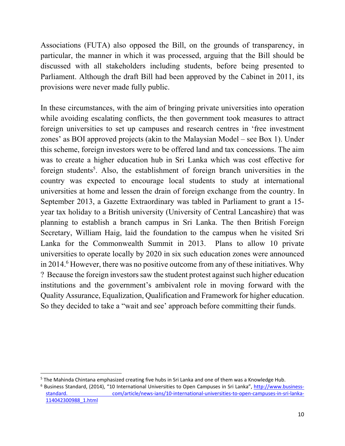Associations (FUTA) also opposed the Bill, on the grounds of transparency, in particular, the manner in which it was processed, arguing that the Bill should be discussed with all stakeholders including students, before being presented to Parliament. Although the draft Bill had been approved by the Cabinet in 2011, its provisions were never made fully public.

In these circumstances, with the aim of bringing private universities into operation while avoiding escalating conflicts, the then government took measures to attract foreign universities to set up campuses and research centres in 'free investment zones' as BOI approved projects (akin to the Malaysian Model – see Box 1). Under this scheme, foreign investors were to be offered land and tax concessions. The aim was to create a higher education hub in Sri Lanka which was cost effective for foreign students<sup>5</sup>. Also, the establishment of foreign branch universities in the country was expected to encourage local students to study at international universities at home and lessen the drain of foreign exchange from the country. In September 2013, a Gazette Extraordinary was tabled in Parliament to grant a 15 year tax holiday to a British university (University of Central Lancashire) that was planning to establish a branch campus in Sri Lanka. The then British Foreign Secretary, William Haig, laid the foundation to the campus when he visited Sri Lanka for the Commonwealth Summit in 2013. Plans to allow 10 private universities to operate locally by 2020 in six such education zones were announced in 2014.<sup>6</sup> However, there was no positive outcome from any of these initiatives. Why ? Because the foreign investors saw the student protest against such higher education institutions and the government's ambivalent role in moving forward with the Quality Assurance, Equalization, Qualification and Framework for higher education. So they decided to take a "wait and see' approach before committing their funds.

<sup>5</sup> The Mahinda Chintana emphasized creating five hubs in Sri Lanka and one of them was a Knowledge Hub.

<sup>6</sup> Business Standard, (2014), "10 International Universities to Open Campuses in Sri Lanka", http://www.business‐ standard. com/article/news-ians/10-international-universities-to-open-campuses-in-sri-lanka-114042300988\_1.html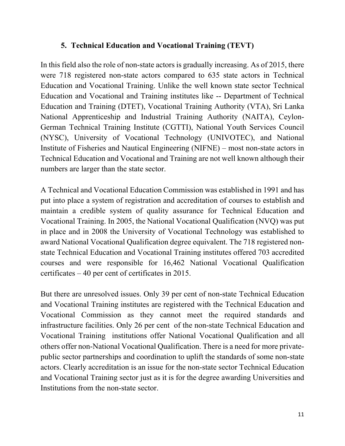## **5. Technical Education and Vocational Training (TEVT)**

In this field also the role of non-state actors is gradually increasing. As of 2015, there were 718 registered non-state actors compared to 635 state actors in Technical Education and Vocational Training. Unlike the well known state sector Technical Education and Vocational and Training institutes like -- Department of Technical Education and Training (DTET), Vocational Training Authority (VTA), Sri Lanka National Apprenticeship and Industrial Training Authority (NAITA), Ceylon-German Technical Training Institute (CGTTI), National Youth Services Council (NYSC), University of Vocational Technology (UNIVOTEC), and National Institute of Fisheries and Nautical Engineering (NIFNE) – most non-state actors in Technical Education and Vocational and Training are not well known although their numbers are larger than the state sector.

A Technical and Vocational Education Commission was established in 1991 and has put into place a system of registration and accreditation of courses to establish and maintain a credible system of quality assurance for Technical Education and Vocational Training. In 2005, the National Vocational Qualification (NVQ) was put in place and in 2008 the University of Vocational Technology was established to award National Vocational Qualification degree equivalent. The 718 registered nonstate Technical Education and Vocational Training institutes offered 703 accredited courses and were responsible for 16,462 National Vocational Qualification certificates – 40 per cent of certificates in 2015.

But there are unresolved issues. Only 39 per cent of non-state Technical Education and Vocational Training institutes are registered with the Technical Education and Vocational Commission as they cannot meet the required standards and infrastructure facilities. Only 26 per cent of the non-state Technical Education and Vocational Training institutions offer National Vocational Qualification and all others offer non-National Vocational Qualification. There is a need for more privatepublic sector partnerships and coordination to uplift the standards of some non-state actors. Clearly accreditation is an issue for the non-state sector Technical Education and Vocational Training sector just as it is for the degree awarding Universities and Institutions from the non-state sector.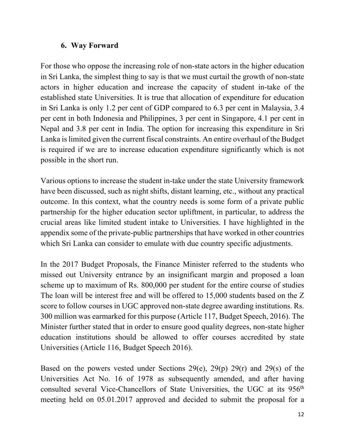## **6. Way Forward**

For those who oppose the increasing role of non-state actors in the higher education in Sri Lanka, the simplest thing to say is that we must curtail the growth of non-state actors in higher education and increase the capacity of student in-take of the established state Universities. It is true that allocation of expenditure for education in Sri Lanka is only 1.2 per cent of GDP compared to 6.3 per cent in Malaysia, 3.4 per cent in both Indonesia and Philippines, 3 per cent in Singapore, 4.1 per cent in Nepal and 3.8 per cent in India. The option for increasing this expenditure in Sri Lanka is limited given the current fiscal constraints. An entire overhaul of the Budget is required if we are to increase education expenditure significantly which is not possible in the short run.

Various options to increase the student in-take under the state University framework have been discussed, such as night shifts, distant learning, etc., without any practical outcome. In this context, what the country needs is some form of a private public partnership for the higher education sector upliftment, in particular, to address the crucial areas like limited student intake to Universities. I have highlighted in the appendix some of the private-public partnerships that have worked in other countries which Sri Lanka can consider to emulate with due country specific adjustments.

In the 2017 Budget Proposals, the Finance Minister referred to the students who missed out University entrance by an insignificant margin and proposed a loan scheme up to maximum of Rs. 800,000 per student for the entire course of studies The loan will be interest free and will be offered to 15,000 students based on the Z score to follow courses in UGC approved non-state degree awarding institutions. Rs. 300 million was earmarked for this purpose (Article 117, Budget Speech, 2016). The Minister further stated that in order to ensure good quality degrees, non-state higher education institutions should be allowed to offer courses accredited by state Universities (Article 116, Budget Speech 2016).

Based on the powers vested under Sections 29(e), 29(p) 29(r) and 29(s) of the Universities Act No. 16 of 1978 as subsequently amended, and after having consulted several Vice-Chancellors of State Universities, the UGC at its 956<sup>th</sup> meeting held on 05.01.2017 approved and decided to submit the proposal for a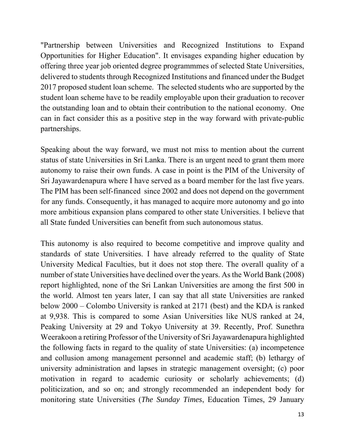"Partnership between Universities and Recognized Institutions to Expand Opportunities for Higher Education". It envisages expanding higher education by offering three year job oriented degree programmmes of selected State Universities, delivered to students through Recognized Institutions and financed under the Budget 2017 proposed student loan scheme. The selected students who are supported by the student loan scheme have to be readily employable upon their graduation to recover the outstanding loan and to obtain their contribution to the national economy. One can in fact consider this as a positive step in the way forward with private-public partnerships.

Speaking about the way forward, we must not miss to mention about the current status of state Universities in Sri Lanka. There is an urgent need to grant them more autonomy to raise their own funds. A case in point is the PIM of the University of Sri Jayawardenapura where I have served as a board member for the last five years. The PIM has been self-financed since 2002 and does not depend on the government for any funds. Consequently, it has managed to acquire more autonomy and go into more ambitious expansion plans compared to other state Universities. I believe that all State funded Universities can benefit from such autonomous status.

This autonomy is also required to become competitive and improve quality and standards of state Universities. I have already referred to the quality of State University Medical Faculties, but it does not stop there. The overall quality of a number of state Universities have declined over the years. As the World Bank (2008) report highlighted, none of the Sri Lankan Universities are among the first 500 in the world. Almost ten years later, I can say that all state Universities are ranked below 2000 – Colombo University is ranked at 2171 (best) and the KDA is ranked at 9,938. This is compared to some Asian Universities like NUS ranked at 24, Peaking University at 29 and Tokyo University at 39. Recently, Prof. Sunethra Weerakoon a retiring Professor of the University of Sri Jayawardenapura highlighted the following facts in regard to the quality of state Universities: (a) incompetence and collusion among management personnel and academic staff; (b) lethargy of university administration and lapses in strategic management oversight; (c) poor motivation in regard to academic curiosity or scholarly achievements; (d) politicization, and so on; and strongly recommended an independent body for monitoring state Universities (*The Sunday Times*, Education Times, 29 January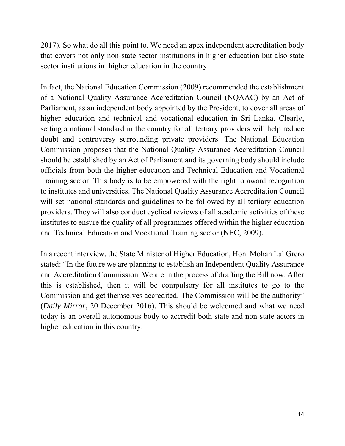2017). So what do all this point to. We need an apex independent accreditation body that covers not only non-state sector institutions in higher education but also state sector institutions in higher education in the country.

In fact, the National Education Commission (2009) recommended the establishment of a National Quality Assurance Accreditation Council (NQAAC) by an Act of Parliament, as an independent body appointed by the President, to cover all areas of higher education and technical and vocational education in Sri Lanka. Clearly, setting a national standard in the country for all tertiary providers will help reduce doubt and controversy surrounding private providers. The National Education Commission proposes that the National Quality Assurance Accreditation Council should be established by an Act of Parliament and its governing body should include officials from both the higher education and Technical Education and Vocational Training sector. This body is to be empowered with the right to award recognition to institutes and universities. The National Quality Assurance Accreditation Council will set national standards and guidelines to be followed by all tertiary education providers. They will also conduct cyclical reviews of all academic activities of these institutes to ensure the quality of all programmes offered within the higher education and Technical Education and Vocational Training sector (NEC, 2009).

In a recent interview, the State Minister of Higher Education, Hon. Mohan Lal Grero stated: "In the future we are planning to establish an Independent Quality Assurance and Accreditation Commission. We are in the process of drafting the Bill now. After this is established, then it will be compulsory for all institutes to go to the Commission and get themselves accredited. The Commission will be the authority" (*Daily Mirror*, 20 December 2016). This should be welcomed and what we need today is an overall autonomous body to accredit both state and non-state actors in higher education in this country.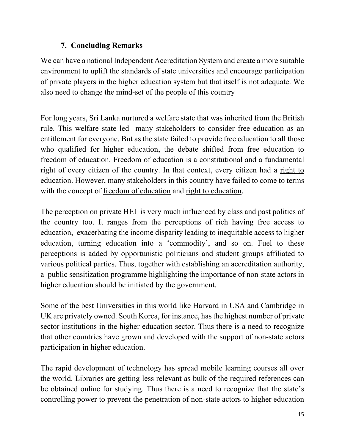# **7. Concluding Remarks**

We can have a national Independent Accreditation System and create a more suitable environment to uplift the standards of state universities and encourage participation of private players in the higher education system but that itself is not adequate. We also need to change the mind-set of the people of this country

For long years, Sri Lanka nurtured a welfare state that was inherited from the British rule. This welfare state led many stakeholders to consider free education as an entitlement for everyone. But as the state failed to provide free education to all those who qualified for higher education, the debate shifted from free education to freedom of education. Freedom of education is a constitutional and a fundamental right of every citizen of the country. In that context, every citizen had a right to education. However, many stakeholders in this country have failed to come to terms with the concept of freedom of education and right to education.

The perception on private HEI is very much influenced by class and past politics of the country too. It ranges from the perceptions of rich having free access to education, exacerbating the income disparity leading to inequitable access to higher education, turning education into a 'commodity', and so on. Fuel to these perceptions is added by opportunistic politicians and student groups affiliated to various political parties. Thus, together with establishing an accreditation authority, a public sensitization programme highlighting the importance of non-state actors in higher education should be initiated by the government.

Some of the best Universities in this world like Harvard in USA and Cambridge in UK are privately owned. South Korea, for instance, has the highest number of private sector institutions in the higher education sector. Thus there is a need to recognize that other countries have grown and developed with the support of non-state actors participation in higher education.

The rapid development of technology has spread mobile learning courses all over the world. Libraries are getting less relevant as bulk of the required references can be obtained online for studying. Thus there is a need to recognize that the state's controlling power to prevent the penetration of non-state actors to higher education